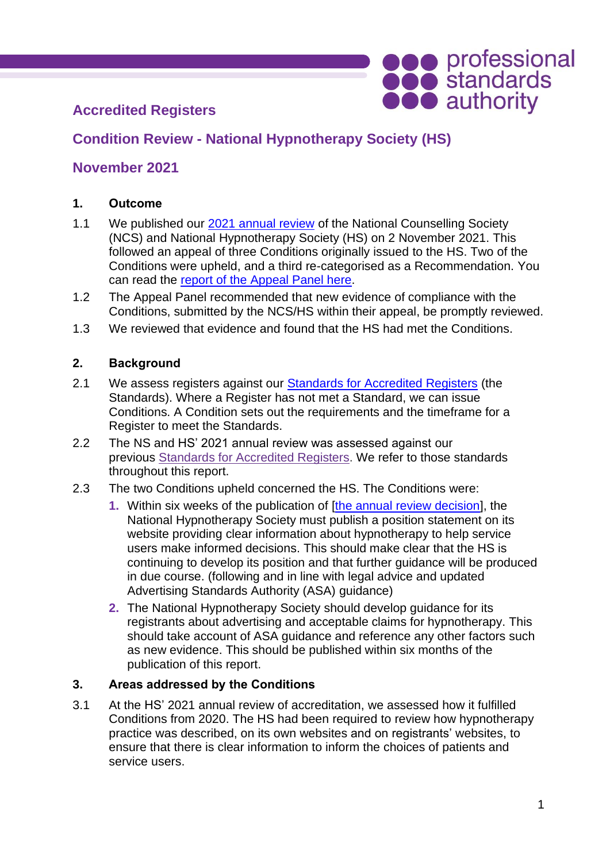# **Accredited Registers**

# **Condition Review - National Hypnotherapy Society (HS)**

## **November 2021**

### **1. Outcome**

- 1.1 We published our [2021 annual review](https://www.professionalstandards.org.uk/docs/default-source/accredited-registers/panel-decisions/annual-review-panel-decision-ncs-hs.pdf?sfvrsn=33297f20_14) of the National Counselling Society (NCS) and National Hypnotherapy Society (HS) on 2 November 2021. This followed an appeal of three Conditions originally issued to the HS. Two of the Conditions were upheld, and a third re-categorised as a Recommendation. You can read the [report of the Appeal Panel here.](https://www.professionalstandards.org.uk/docs/default-source/accredited-registers/panel-decisions/hypnotherapy-society-appeal-2021-outcome.pdf?sfvrsn=b1dd4820_4)
- 1.2 The Appeal Panel recommended that new evidence of compliance with the Conditions, submitted by the NCS/HS within their appeal, be promptly reviewed.
- 1.3 We reviewed that evidence and found that the HS had met the Conditions.

### **2. Background**

- 2.1 We assess registers against our [Standards for Accredited Registers](https://www.professionalstandards.org.uk/what-we-do/accredited-registers/about-accredited-registers/our-standards) (the Standards). Where a Register has not met a Standard, we can issue Conditions. A Condition sets out the requirements and the timeframe for a Register to meet the Standards.
- 2.2 The NS and HS' 2021 annual review was assessed against our previous [Standards for Accredited Registers.](https://www.professionalstandards.org.uk/docs/default-source/accredited-registers/standards-for-accredited-registers/standards-for-accredited-registers-2016.pdf?sfvrsn=cfae4820_4) We refer to those standards throughout this report.
- 2.3 The two Conditions upheld concerned the HS. The Conditions were:
	- **1.** Within six weeks of the publication of [\[the annual review decision\]](https://www.professionalstandards.org.uk/docs/default-source/accredited-registers/panel-decisions/annual-review-panel-decision-ncs-hs.pdf?sfvrsn=33297f20_14), the National Hypnotherapy Society must publish a position statement on its website providing clear information about hypnotherapy to help service users make informed decisions. This should make clear that the HS is continuing to develop its position and that further guidance will be produced in due course. (following and in line with legal advice and updated Advertising Standards Authority (ASA) guidance)
	- **2.** The National Hypnotherapy Society should develop guidance for its registrants about advertising and acceptable claims for hypnotherapy. This should take account of ASA guidance and reference any other factors such as new evidence. This should be published within six months of the publication of this report.

### **3. Areas addressed by the Conditions**

3.1 At the HS' 2021 annual review of accreditation, we assessed how it fulfilled Conditions from 2020. The HS had been required to review how hypnotherapy practice was described, on its own websites and on registrants' websites, to ensure that there is clear information to inform the choices of patients and service users.

**OCO** professional<br> **OCO** standards<br> **OCO** authority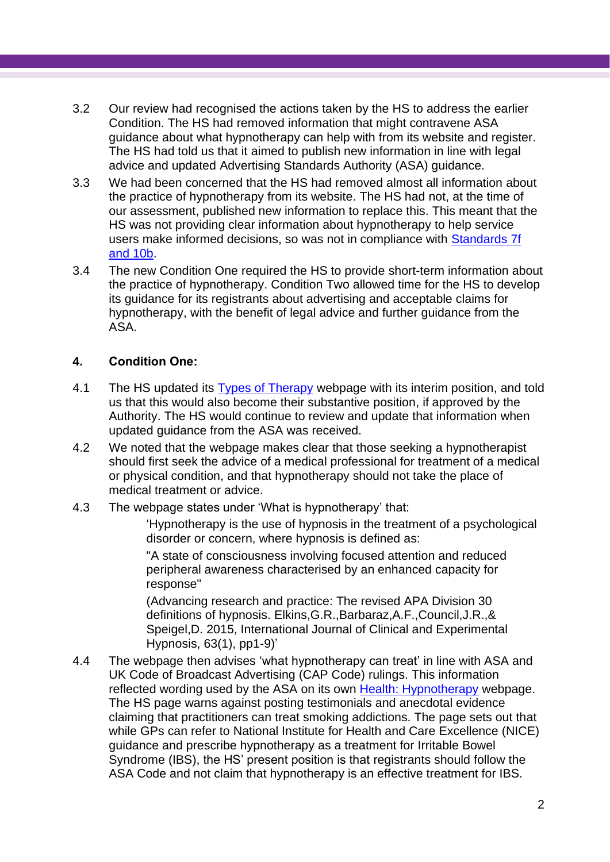- 3.2 Our review had recognised the actions taken by the HS to address the earlier Condition. The HS had removed information that might contravene ASA guidance about what hypnotherapy can help with from its website and register. The HS had told us that it aimed to publish new information in line with legal advice and updated Advertising Standards Authority (ASA) guidance.
- 3.3 We had been concerned that the HS had removed almost all information about the practice of hypnotherapy from its website. The HS had not, at the time of our assessment, published new information to replace this. This meant that the HS was not providing clear information about hypnotherapy to help service users make informed decisions, so was not in compliance with [Standards](https://www.professionalstandards.org.uk/docs/default-source/accredited-registers/standards-for-accredited-registers/standards-for-accredited-registers-2016.pdf?sfvrsn=cfae4820_4) 7f [and 10b.](https://www.professionalstandards.org.uk/docs/default-source/accredited-registers/standards-for-accredited-registers/standards-for-accredited-registers-2016.pdf?sfvrsn=cfae4820_4)
- 3.4 The new Condition One required the HS to provide short-term information about the practice of hypnotherapy. Condition Two allowed time for the HS to develop its guidance for its registrants about advertising and acceptable claims for hypnotherapy, with the benefit of legal advice and further guidance from the ASA.

### **4. Condition One:**

- 4.1 The HS updated its [Types of Therapy](https://nationalhypnotherapysociety.org/find-a-therapist/types-of-therapy) webpage with its interim position, and told us that this would also become their substantive position, if approved by the Authority. The HS would continue to review and update that information when updated guidance from the ASA was received.
- 4.2 We noted that the webpage makes clear that those seeking a hypnotherapist should first seek the advice of a medical professional for treatment of a medical or physical condition, and that hypnotherapy should not take the place of medical treatment or advice.
- 4.3 The webpage states under 'What is hypnotherapy' that:

'Hypnotherapy is the use of hypnosis in the treatment of a psychological disorder or concern, where hypnosis is defined as:

"A state of consciousness involving focused attention and reduced peripheral awareness characterised by an enhanced capacity for response"

(Advancing research and practice: The revised APA Division 30 definitions of hypnosis. Elkins,G.R.,Barbaraz,A.F.,Council,J.R.,& Speigel,D. 2015, International Journal of Clinical and Experimental Hypnosis, 63(1), pp1-9)'

4.4 The webpage then advises 'what hypnotherapy can treat' in line with ASA and UK Code of Broadcast Advertising (CAP Code) rulings. This information reflected wording used by the ASA on its own Health: [Hypnotherapy](https://www.asa.org.uk/advice-online/health-hypnotherapy.html) webpage. The HS page warns against posting testimonials and anecdotal evidence claiming that practitioners can treat smoking addictions. The page sets out that while GPs can refer to National Institute for Health and Care Excellence (NICE) guidance and prescribe hypnotherapy as a treatment for Irritable Bowel Syndrome (IBS), the HS' present position is that registrants should follow the ASA Code and not claim that hypnotherapy is an effective treatment for IBS.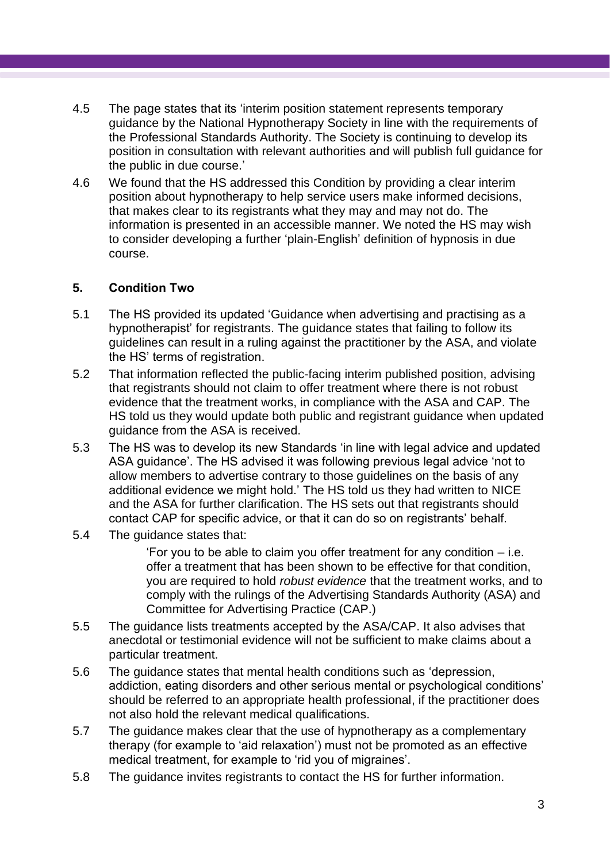- 4.5 The page states that its 'interim position statement represents temporary guidance by the National Hypnotherapy Society in line with the requirements of the Professional Standards Authority. The Society is continuing to develop its position in consultation with relevant authorities and will publish full guidance for the public in due course.'
- 4.6 We found that the HS addressed this Condition by providing a clear interim position about hypnotherapy to help service users make informed decisions, that makes clear to its registrants what they may and may not do. The information is presented in an accessible manner. We noted the HS may wish to consider developing a further 'plain-English' definition of hypnosis in due course.

#### **5. Condition Two**

- 5.1 The HS provided its updated 'Guidance when advertising and practising as a hypnotherapist' for registrants. The guidance states that failing to follow its guidelines can result in a ruling against the practitioner by the ASA, and violate the HS' terms of registration.
- 5.2 That information reflected the public-facing interim published position, advising that registrants should not claim to offer treatment where there is not robust evidence that the treatment works, in compliance with the ASA and CAP. The HS told us they would update both public and registrant guidance when updated guidance from the ASA is received.
- 5.3 The HS was to develop its new Standards 'in line with legal advice and updated ASA guidance'. The HS advised it was following previous legal advice 'not to allow members to advertise contrary to those guidelines on the basis of any additional evidence we might hold.' The HS told us they had written to NICE and the ASA for further clarification. The HS sets out that registrants should contact CAP for specific advice, or that it can do so on registrants' behalf.
- 5.4 The guidance states that:

'For you to be able to claim you offer treatment for any condition – i.e. offer a treatment that has been shown to be effective for that condition, you are required to hold *robust evidence* that the treatment works, and to comply with the rulings of the Advertising Standards Authority (ASA) and Committee for Advertising Practice (CAP.)

- 5.5 The guidance lists treatments accepted by the ASA/CAP. It also advises that anecdotal or testimonial evidence will not be sufficient to make claims about a particular treatment.
- 5.6 The guidance states that mental health conditions such as 'depression, addiction, eating disorders and other serious mental or psychological conditions' should be referred to an appropriate health professional, if the practitioner does not also hold the relevant medical qualifications.
- 5.7 The guidance makes clear that the use of hypnotherapy as a complementary therapy (for example to 'aid relaxation') must not be promoted as an effective medical treatment, for example to 'rid you of migraines'.
- 5.8 The guidance invites registrants to contact the HS for further information.